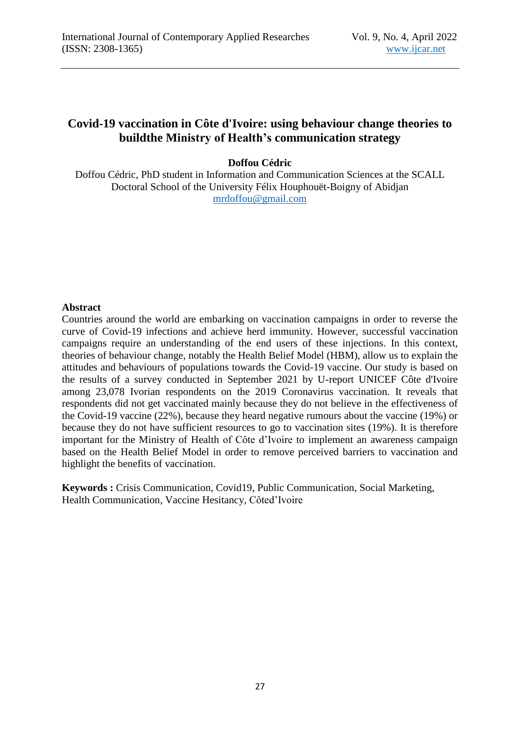## **Covid-19 vaccination in Côte d'Ivoire: using behaviour change theories to buildthe Ministry of Health's communication strategy**

## **Doffou Cédric**

Doffou Cédric, PhD student in Information and Communication Sciences at the SCALL Doctoral School of the University Félix Houphouët-Boigny of Abidjan [mrdoffou@gmail.com](mailto:mrdoffou@gmail.com)

## **Abstract**

Countries around the world are embarking on vaccination campaigns in order to reverse the curve of Covid-19 infections and achieve herd immunity. However, successful vaccination campaigns require an understanding of the end users of these injections. In this context, theories of behaviour change, notably the Health Belief Model (HBM), allow us to explain the attitudes and behaviours of populations towards the Covid-19 vaccine. Our study is based on the results of a survey conducted in September 2021 by U-report UNICEF Côte d'Ivoire among 23,078 Ivorian respondents on the 2019 Coronavirus vaccination. It reveals that respondents did not get vaccinated mainly because they do not believe in the effectiveness of the Covid-19 vaccine (22%), because they heard negative rumours about the vaccine (19%) or because they do not have sufficient resources to go to vaccination sites (19%). It is therefore important for the Ministry of Health of Côte d'Ivoire to implement an awareness campaign based on the Health Belief Model in order to remove perceived barriers to vaccination and highlight the benefits of vaccination.

**Keywords :** Crisis Communication, Covid19, Public Communication, Social Marketing, Health Communication, Vaccine Hesitancy, Côted'Ivoire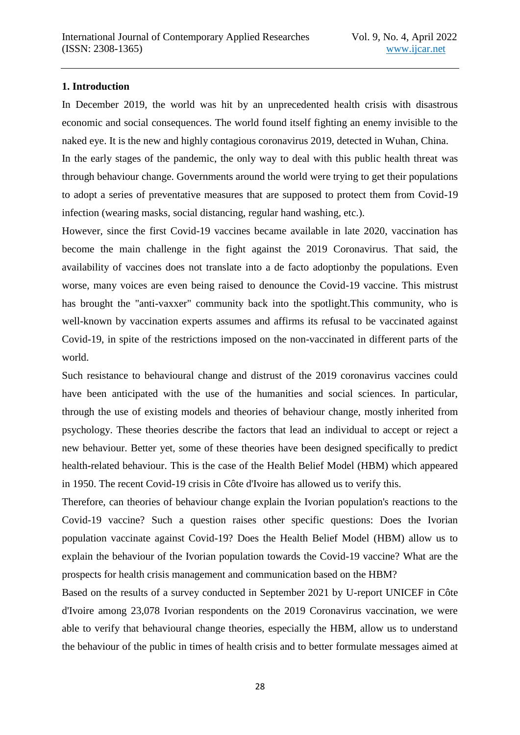#### **1. Introduction**

In December 2019, the world was hit by an unprecedented health crisis with disastrous economic and social consequences. The world found itself fighting an enemy invisible to the naked eye. It is the new and highly contagious coronavirus 2019, detected in Wuhan, China.

In the early stages of the pandemic, the only way to deal with this public health threat was through behaviour change. Governments around the world were trying to get their populations to adopt a series of preventative measures that are supposed to protect them from Covid-19 infection (wearing masks, social distancing, regular hand washing, etc.).

However, since the first Covid-19 vaccines became available in late 2020, vaccination has become the main challenge in the fight against the 2019 Coronavirus. That said, the availability of vaccines does not translate into a de facto adoptionby the populations. Even worse, many voices are even being raised to denounce the Covid-19 vaccine. This mistrust has brought the "anti-vaxxer" community back into the spotlight.This community, who is well-known by vaccination experts assumes and affirms its refusal to be vaccinated against Covid-19, in spite of the restrictions imposed on the non-vaccinated in different parts of the world.

Such resistance to behavioural change and distrust of the 2019 coronavirus vaccines could have been anticipated with the use of the humanities and social sciences. In particular, through the use of existing models and theories of behaviour change, mostly inherited from psychology. These theories describe the factors that lead an individual to accept or reject a new behaviour. Better yet, some of these theories have been designed specifically to predict health-related behaviour. This is the case of the Health Belief Model (HBM) which appeared in 1950. The recent Covid-19 crisis in Côte d'Ivoire has allowed us to verify this.

Therefore, can theories of behaviour change explain the Ivorian population's reactions to the Covid-19 vaccine? Such a question raises other specific questions: Does the Ivorian population vaccinate against Covid-19? Does the Health Belief Model (HBM) allow us to explain the behaviour of the Ivorian population towards the Covid-19 vaccine? What are the prospects for health crisis management and communication based on the HBM?

Based on the results of a survey conducted in September 2021 by U-report UNICEF in Côte d'Ivoire among 23,078 Ivorian respondents on the 2019 Coronavirus vaccination, we were able to verify that behavioural change theories, especially the HBM, allow us to understand the behaviour of the public in times of health crisis and to better formulate messages aimed at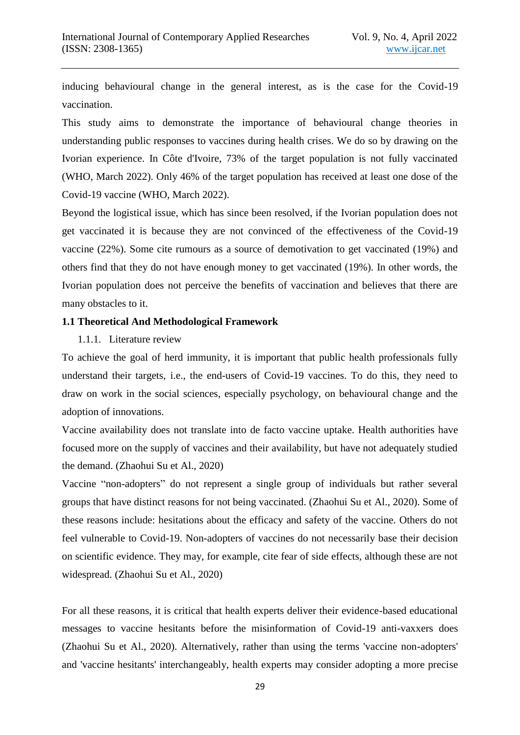inducing behavioural change in the general interest, as is the case for the Covid-19 vaccination.

This study aims to demonstrate the importance of behavioural change theories in understanding public responses to vaccines during health crises. We do so by drawing on the Ivorian experience. In Côte d'Ivoire, 73% of the target population is not fully vaccinated (WHO, March 2022). Only 46% of the target population has received at least one dose of the Covid-19 vaccine (WHO, March 2022).

Beyond the logistical issue, which has since been resolved, if the Ivorian population does not get vaccinated it is because they are not convinced of the effectiveness of the Covid-19 vaccine (22%). Some cite rumours as a source of demotivation to get vaccinated (19%) and others find that they do not have enough money to get vaccinated (19%). In other words, the Ivorian population does not perceive the benefits of vaccination and believes that there are many obstacles to it.

#### **1.1 Theoretical And Methodological Framework**

1.1.1. Literature review

To achieve the goal of herd immunity, it is important that public health professionals fully understand their targets, i.e., the end-users of Covid-19 vaccines. To do this, they need to draw on work in the social sciences, especially psychology, on behavioural change and the adoption of innovations.

Vaccine availability does not translate into de facto vaccine uptake. Health authorities have focused more on the supply of vaccines and their availability, but have not adequately studied the demand. (Zhaohui Su et Al., 2020)

Vaccine "non-adopters" do not represent a single group of individuals but rather several groups that have distinct reasons for not being vaccinated. (Zhaohui Su et Al., 2020). Some of these reasons include: hesitations about the efficacy and safety of the vaccine. Others do not feel vulnerable to Covid-19. Non-adopters of vaccines do not necessarily base their decision on scientific evidence. They may, for example, cite fear of side effects, although these are not widespread. (Zhaohui Su et Al., 2020)

For all these reasons, it is critical that health experts deliver their evidence-based educational messages to vaccine hesitants before the misinformation of Covid-19 anti-vaxxers does (Zhaohui Su et Al., 2020). Alternatively, rather than using the terms 'vaccine non-adopters' and 'vaccine hesitants' interchangeably, health experts may consider adopting a more precise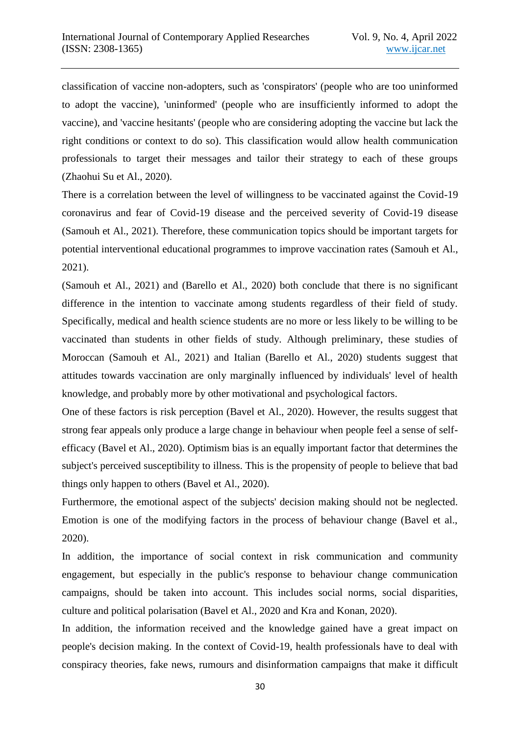classification of vaccine non-adopters, such as 'conspirators' (people who are too uninformed to adopt the vaccine), 'uninformed' (people who are insufficiently informed to adopt the vaccine), and 'vaccine hesitants' (people who are considering adopting the vaccine but lack the right conditions or context to do so). This classification would allow health communication professionals to target their messages and tailor their strategy to each of these groups (Zhaohui Su et Al., 2020).

There is a correlation between the level of willingness to be vaccinated against the Covid-19 coronavirus and fear of Covid-19 disease and the perceived severity of Covid-19 disease (Samouh et Al., 2021). Therefore, these communication topics should be important targets for potential interventional educational programmes to improve vaccination rates (Samouh et Al., 2021).

(Samouh et Al., 2021) and (Barello et Al., 2020) both conclude that there is no significant difference in the intention to vaccinate among students regardless of their field of study. Specifically, medical and health science students are no more or less likely to be willing to be vaccinated than students in other fields of study. Although preliminary, these studies of Moroccan (Samouh et Al., 2021) and Italian (Barello et Al., 2020) students suggest that attitudes towards vaccination are only marginally influenced by individuals' level of health knowledge, and probably more by other motivational and psychological factors.

One of these factors is risk perception (Bavel et Al., 2020). However, the results suggest that strong fear appeals only produce a large change in behaviour when people feel a sense of selfefficacy (Bavel et Al., 2020). Optimism bias is an equally important factor that determines the subject's perceived susceptibility to illness. This is the propensity of people to believe that bad things only happen to others (Bavel et Al., 2020).

Furthermore, the emotional aspect of the subjects' decision making should not be neglected. Emotion is one of the modifying factors in the process of behaviour change (Bavel et al., 2020).

In addition, the importance of social context in risk communication and community engagement, but especially in the public's response to behaviour change communication campaigns, should be taken into account. This includes social norms, social disparities, culture and political polarisation (Bavel et Al., 2020 and Kra and Konan, 2020).

In addition, the information received and the knowledge gained have a great impact on people's decision making. In the context of Covid-19, health professionals have to deal with conspiracy theories, fake news, rumours and disinformation campaigns that make it difficult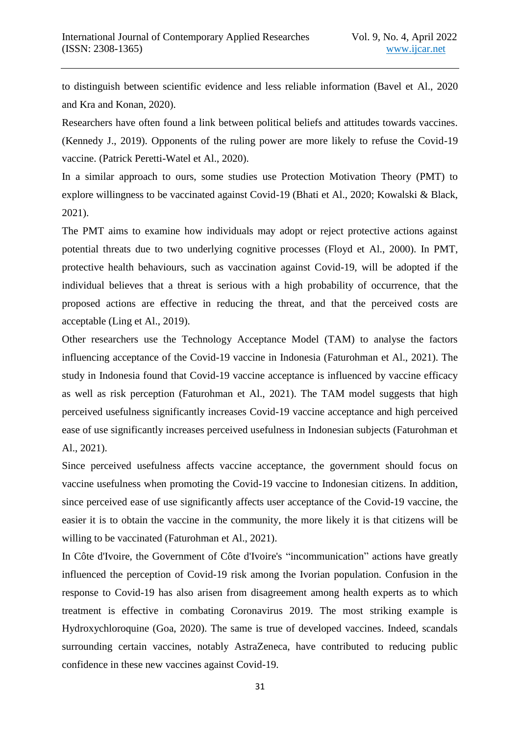to distinguish between scientific evidence and less reliable information (Bavel et Al., 2020 and Kra and Konan, 2020).

Researchers have often found a link between political beliefs and attitudes towards vaccines. (Kennedy J., 2019). Opponents of the ruling power are more likely to refuse the Covid-19 vaccine. (Patrick Peretti-Watel et Al., 2020).

In a similar approach to ours, some studies use Protection Motivation Theory (PMT) to explore willingness to be vaccinated against Covid-19 (Bhati et Al., 2020; Kowalski & Black, 2021).

The PMT aims to examine how individuals may adopt or reject protective actions against potential threats due to two underlying cognitive processes (Floyd et Al., 2000). In PMT, protective health behaviours, such as vaccination against Covid-19, will be adopted if the individual believes that a threat is serious with a high probability of occurrence, that the proposed actions are effective in reducing the threat, and that the perceived costs are acceptable (Ling et Al., 2019).

Other researchers use the Technology Acceptance Model (TAM) to analyse the factors influencing acceptance of the Covid-19 vaccine in Indonesia (Faturohman et Al., 2021). The study in Indonesia found that Covid-19 vaccine acceptance is influenced by vaccine efficacy as well as risk perception (Faturohman et Al., 2021). The TAM model suggests that high perceived usefulness significantly increases Covid-19 vaccine acceptance and high perceived ease of use significantly increases perceived usefulness in Indonesian subjects (Faturohman et Al., 2021).

Since perceived usefulness affects vaccine acceptance, the government should focus on vaccine usefulness when promoting the Covid-19 vaccine to Indonesian citizens. In addition, since perceived ease of use significantly affects user acceptance of the Covid-19 vaccine, the easier it is to obtain the vaccine in the community, the more likely it is that citizens will be willing to be vaccinated (Faturohman et Al., 2021).

In Côte d'Ivoire, the Government of Côte d'Ivoire's "incommunication" actions have greatly influenced the perception of Covid-19 risk among the Ivorian population. Confusion in the response to Covid-19 has also arisen from disagreement among health experts as to which treatment is effective in combating Coronavirus 2019. The most striking example is Hydroxychloroquine (Goa, 2020). The same is true of developed vaccines. Indeed, scandals surrounding certain vaccines, notably AstraZeneca, have contributed to reducing public confidence in these new vaccines against Covid-19.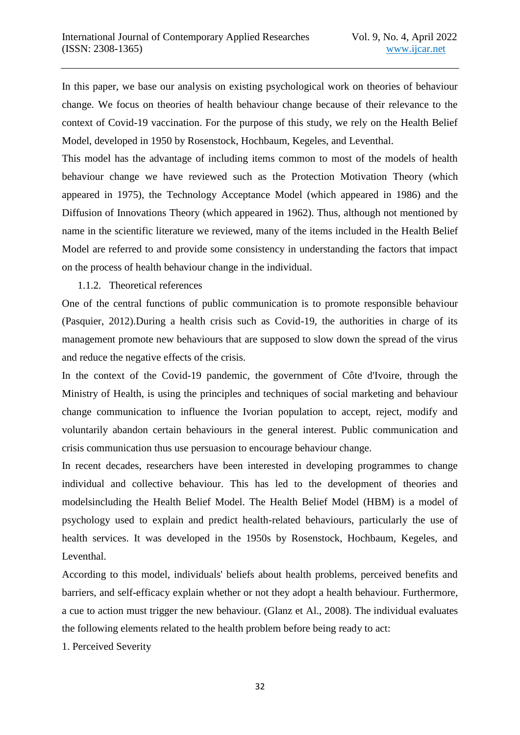In this paper, we base our analysis on existing psychological work on theories of behaviour change. We focus on theories of health behaviour change because of their relevance to the context of Covid-19 vaccination. For the purpose of this study, we rely on the Health Belief Model, developed in 1950 by Rosenstock, Hochbaum, Kegeles, and Leventhal.

This model has the advantage of including items common to most of the models of health behaviour change we have reviewed such as the Protection Motivation Theory (which appeared in 1975), the Technology Acceptance Model (which appeared in 1986) and the Diffusion of Innovations Theory (which appeared in 1962). Thus, although not mentioned by name in the scientific literature we reviewed, many of the items included in the Health Belief Model are referred to and provide some consistency in understanding the factors that impact on the process of health behaviour change in the individual.

#### 1.1.2. Theoretical references

One of the central functions of public communication is to promote responsible behaviour (Pasquier, 2012).During a health crisis such as Covid-19, the authorities in charge of its management promote new behaviours that are supposed to slow down the spread of the virus and reduce the negative effects of the crisis.

In the context of the Covid-19 pandemic, the government of Côte d'Ivoire, through the Ministry of Health, is using the principles and techniques of social marketing and behaviour change communication to influence the Ivorian population to accept, reject, modify and voluntarily abandon certain behaviours in the general interest. Public communication and crisis communication thus use persuasion to encourage behaviour change.

In recent decades, researchers have been interested in developing programmes to change individual and collective behaviour. This has led to the development of theories and modelsincluding the Health Belief Model. The Health Belief Model (HBM) is a model of psychology used to explain and predict health-related behaviours, particularly the use of health services. It was developed in the 1950s by Rosenstock, Hochbaum, Kegeles, and Leventhal.

According to this model, individuals' beliefs about health problems, perceived benefits and barriers, and self-efficacy explain whether or not they adopt a health behaviour. Furthermore, a cue to action must trigger the new behaviour. (Glanz et Al., 2008). The individual evaluates the following elements related to the health problem before being ready to act:

1. Perceived Severity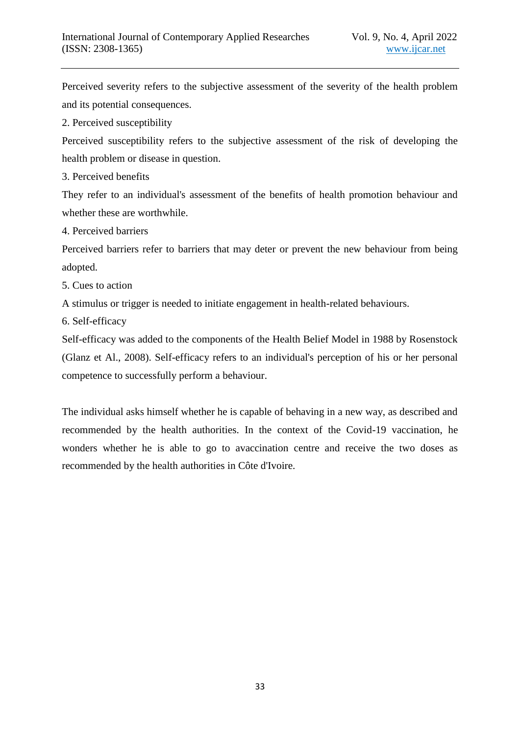Perceived severity refers to the subjective assessment of the severity of the health problem and its potential consequences.

2. Perceived susceptibility

Perceived susceptibility refers to the subjective assessment of the risk of developing the health problem or disease in question.

3. Perceived benefits

They refer to an individual's assessment of the benefits of health promotion behaviour and whether these are worthwhile.

4. Perceived barriers

Perceived barriers refer to barriers that may deter or prevent the new behaviour from being adopted.

5. Cues to action

A stimulus or trigger is needed to initiate engagement in health-related behaviours.

6. Self-efficacy

Self-efficacy was added to the components of the Health Belief Model in 1988 by Rosenstock (Glanz et Al., 2008). Self-efficacy refers to an individual's perception of his or her personal competence to successfully perform a behaviour.

The individual asks himself whether he is capable of behaving in a new way, as described and recommended by the health authorities. In the context of the Covid-19 vaccination, he wonders whether he is able to go to avaccination centre and receive the two doses as recommended by the health authorities in Côte d'Ivoire.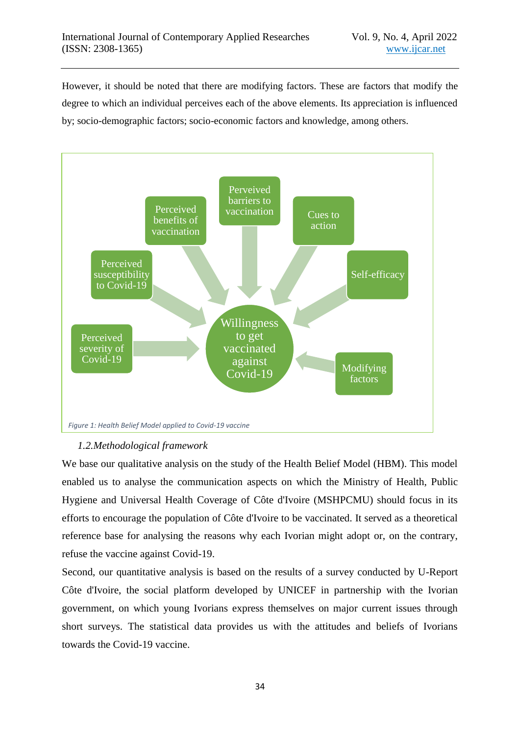However, it should be noted that there are modifying factors. These are factors that modify the degree to which an individual perceives each of the above elements. Its appreciation is influenced by; socio-demographic factors; socio-economic factors and knowledge, among others.



## *1.2.Methodological framework*

We base our qualitative analysis on the study of the Health Belief Model (HBM). This model enabled us to analyse the communication aspects on which the Ministry of Health, Public Hygiene and Universal Health Coverage of Côte d'Ivoire (MSHPCMU) should focus in its efforts to encourage the population of Côte d'Ivoire to be vaccinated. It served as a theoretical reference base for analysing the reasons why each Ivorian might adopt or, on the contrary, refuse the vaccine against Covid-19.

Second, our quantitative analysis is based on the results of a survey conducted by U-Report Côte d'Ivoire, the social platform developed by UNICEF in partnership with the Ivorian government, on which young Ivorians express themselves on major current issues through short surveys. The statistical data provides us with the attitudes and beliefs of Ivorians towards the Covid-19 vaccine.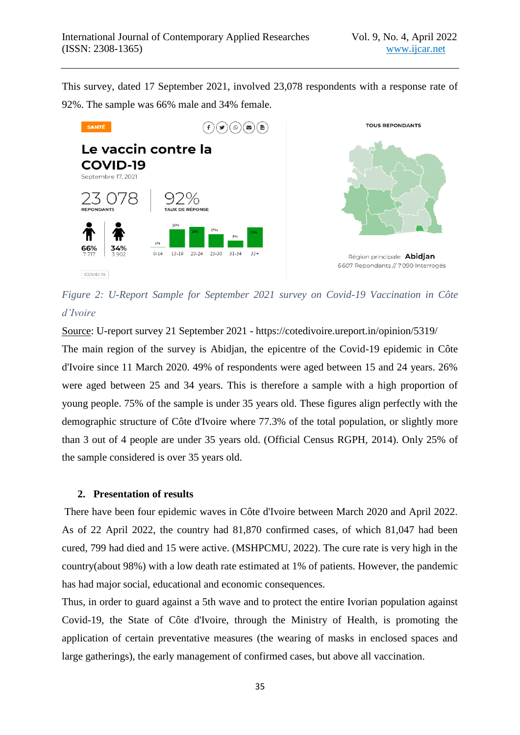This survey, dated 17 September 2021, involved 23,078 respondents with a response rate of 92%. The sample was 66% male and 34% female.



*Figure 2: U-Report Sample for September 2021 survey on Covid-19 Vaccination in Côte d'Ivoire*

Source: U-report survey 21 September 2021 - https://cotedivoire.ureport.in/opinion/5319/ The main region of the survey is Abidjan, the epicentre of the Covid-19 epidemic in Côte d'Ivoire since 11 March 2020. 49% of respondents were aged between 15 and 24 years. 26% were aged between 25 and 34 years. This is therefore a sample with a high proportion of young people. 75% of the sample is under 35 years old. These figures align perfectly with the demographic structure of Côte d'Ivoire where 77.3% of the total population, or slightly more than 3 out of 4 people are under 35 years old. (Official Census RGPH, 2014). Only 25% of the sample considered is over 35 years old.

#### **2. Presentation of results**

There have been four epidemic waves in Côte d'Ivoire between March 2020 and April 2022. As of 22 April 2022, the country had 81,870 confirmed cases, of which 81,047 had been cured, 799 had died and 15 were active. (MSHPCMU, 2022). The cure rate is very high in the country(about 98%) with a low death rate estimated at 1% of patients. However, the pandemic has had major social, educational and economic consequences.

Thus, in order to guard against a 5th wave and to protect the entire Ivorian population against Covid-19, the State of Côte d'Ivoire, through the Ministry of Health, is promoting the application of certain preventative measures (the wearing of masks in enclosed spaces and large gatherings), the early management of confirmed cases, but above all vaccination.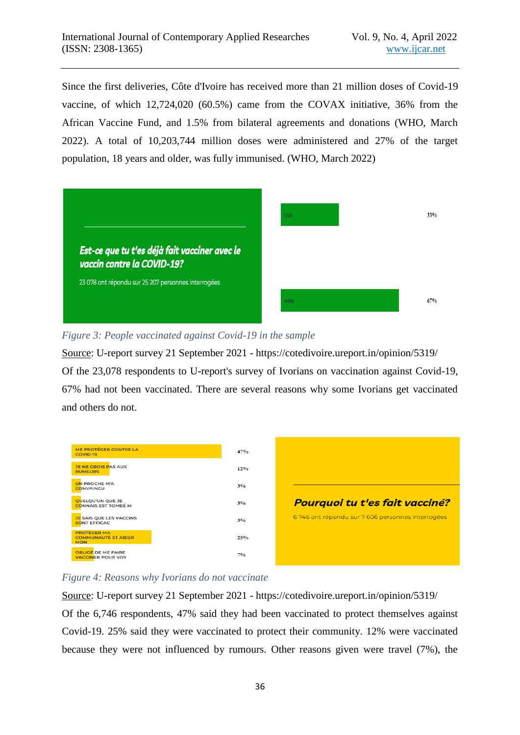Since the first deliveries, Côte d'Ivoire has received more than 21 million doses of Covid-19 vaccine, of which 12,724,020 (60.5%) came from the COVAX initiative, 36% from the African Vaccine Fund, and 1.5% from bilateral agreements and donations (WHO, March 2022). A total of 10,203,744 million doses were administered and 27% of the target population, 18 years and older, was fully immunised. (WHO, March 2022)



#### *Figure 3: People vaccinated against Covid-19 in the sample*

Source: U-report survey 21 September 2021 - https://cotedivoire.ureport.in/opinion/5319/ Of the 23,078 respondents to U-report's survey of Ivorians on vaccination against Covid-19, 67% had not been vaccinated. There are several reasons why some Ivorians get vaccinated and others do not.



## *Figure 4: Reasons why Ivorians do not vaccinate*

Source: U-report survey 21 September 2021 - https://cotedivoire.ureport.in/opinion/5319/ Of the 6,746 respondents, 47% said they had been vaccinated to protect themselves against Covid-19. 25% said they were vaccinated to protect their community. 12% were vaccinated because they were not influenced by rumours. Other reasons given were travel (7%), the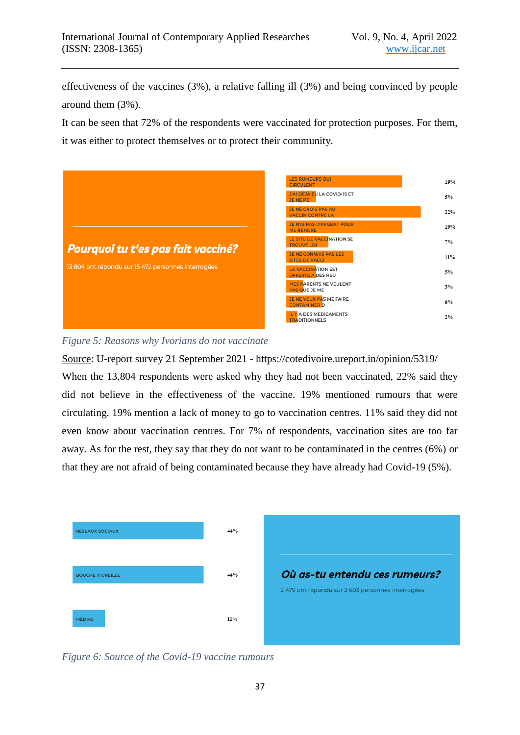effectiveness of the vaccines (3%), a relative falling ill (3%) and being convinced by people around them (3%).

It can be seen that 72% of the respondents were vaccinated for protection purposes. For them, it was either to protect themselves or to protect their community.



#### *Figure 5: Reasons why Ivorians do not vaccinate*

Source: U-report survey 21 September 2021 - https://cotedivoire.ureport.in/opinion/5319/ When the 13,804 respondents were asked why they had not been vaccinated, 22% said they did not believe in the effectiveness of the vaccine. 19% mentioned rumours that were circulating. 19% mention a lack of money to go to vaccination centres. 11% said they did not even know about vaccination centres. For 7% of respondents, vaccination sites are too far away. As for the rest, they say that they do not want to be contaminated in the centres (6%) or that they are not afraid of being contaminated because they have already had Covid-19 (5%).



*Figure 6: Source of the Covid-19 vaccine rumours*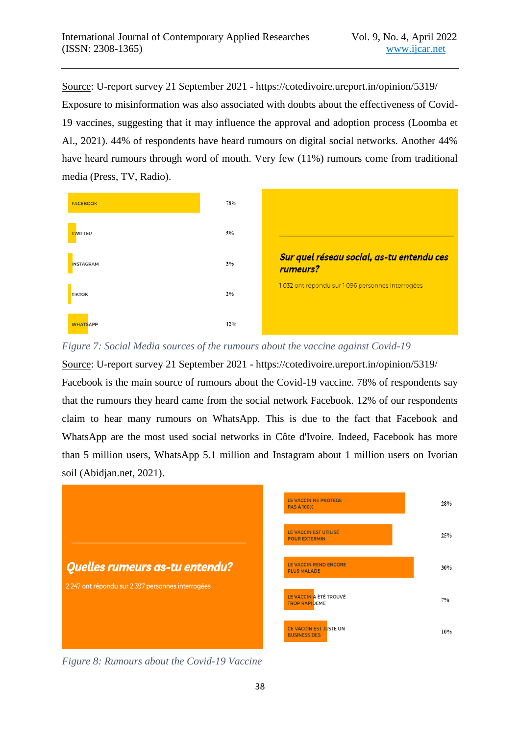Source: U-report survey 21 September 2021 - https://cotedivoire.ureport.in/opinion/5319/ Exposure to misinformation was also associated with doubts about the effectiveness of Covid-19 vaccines, suggesting that it may influence the approval and adoption process (Loomba et Al., 2021). 44% of respondents have heard rumours on digital social networks. Another 44% have heard rumours through word of mouth. Very few (11%) rumours come from traditional media (Press, TV, Radio).



*Figure 7: Social Media sources of the rumours about the vaccine against Covid-19* 

Source: U-report survey 21 September 2021 - https://cotedivoire.ureport.in/opinion/5319/ Facebook is the main source of rumours about the Covid-19 vaccine. 78% of respondents say that the rumours they heard came from the social network Facebook. 12% of our respondents claim to hear many rumours on WhatsApp. This is due to the fact that Facebook and WhatsApp are the most used social networks in Côte d'Ivoire. Indeed, Facebook has more than 5 million users, WhatsApp 5.1 million and Instagram about 1 million users on Ivorian soil (Abidjan.net, 2021).



*Figure 8: Rumours about the Covid-19 Vaccine*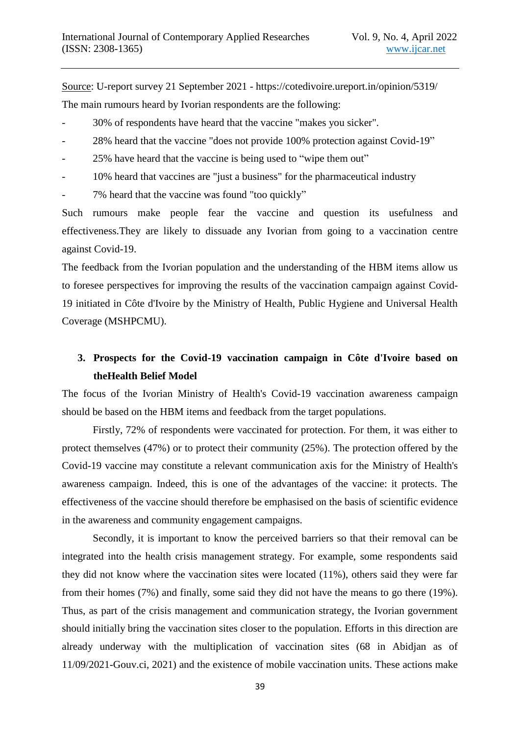Source: U-report survey 21 September 2021 - https://cotedivoire.ureport.in/opinion/5319/ The main rumours heard by Ivorian respondents are the following:

- 30% of respondents have heard that the vaccine "makes you sicker".
- 28% heard that the vaccine "does not provide 100% protection against Covid-19"
- 25% have heard that the vaccine is being used to "wipe them out"
- 10% heard that vaccines are "just a business" for the pharmaceutical industry
- 7% heard that the vaccine was found "too quickly"

Such rumours make people fear the vaccine and question its usefulness and effectiveness.They are likely to dissuade any Ivorian from going to a vaccination centre against Covid-19.

The feedback from the Ivorian population and the understanding of the HBM items allow us to foresee perspectives for improving the results of the vaccination campaign against Covid-19 initiated in Côte d'Ivoire by the Ministry of Health, Public Hygiene and Universal Health Coverage (MSHPCMU).

# **3. Prospects for the Covid-19 vaccination campaign in Côte d'Ivoire based on theHealth Belief Model**

The focus of the Ivorian Ministry of Health's Covid-19 vaccination awareness campaign should be based on the HBM items and feedback from the target populations.

Firstly, 72% of respondents were vaccinated for protection. For them, it was either to protect themselves (47%) or to protect their community (25%). The protection offered by the Covid-19 vaccine may constitute a relevant communication axis for the Ministry of Health's awareness campaign. Indeed, this is one of the advantages of the vaccine: it protects. The effectiveness of the vaccine should therefore be emphasised on the basis of scientific evidence in the awareness and community engagement campaigns.

Secondly, it is important to know the perceived barriers so that their removal can be integrated into the health crisis management strategy. For example, some respondents said they did not know where the vaccination sites were located (11%), others said they were far from their homes (7%) and finally, some said they did not have the means to go there (19%). Thus, as part of the crisis management and communication strategy, the Ivorian government should initially bring the vaccination sites closer to the population. Efforts in this direction are already underway with the multiplication of vaccination sites (68 in Abidjan as of 11/09/2021-Gouv.ci, 2021) and the existence of mobile vaccination units. These actions make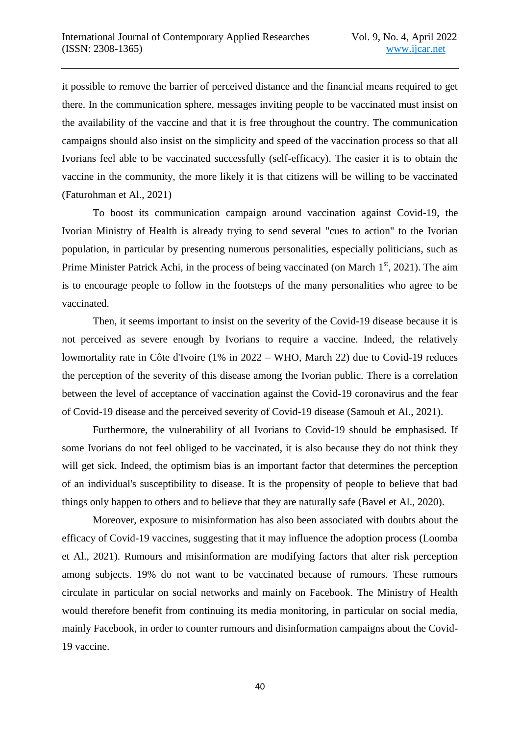it possible to remove the barrier of perceived distance and the financial means required to get there. In the communication sphere, messages inviting people to be vaccinated must insist on the availability of the vaccine and that it is free throughout the country. The communication campaigns should also insist on the simplicity and speed of the vaccination process so that all Ivorians feel able to be vaccinated successfully (self-efficacy). The easier it is to obtain the vaccine in the community, the more likely it is that citizens will be willing to be vaccinated (Faturohman et Al., 2021)

To boost its communication campaign around vaccination against Covid-19, the Ivorian Ministry of Health is already trying to send several "cues to action" to the Ivorian population, in particular by presenting numerous personalities, especially politicians, such as Prime Minister Patrick Achi, in the process of being vaccinated (on March  $1<sup>st</sup>$ , 2021). The aim is to encourage people to follow in the footsteps of the many personalities who agree to be vaccinated.

Then, it seems important to insist on the severity of the Covid-19 disease because it is not perceived as severe enough by Ivorians to require a vaccine. Indeed, the relatively lowmortality rate in Côte d'Ivoire (1% in 2022 – WHO, March 22) due to Covid-19 reduces the perception of the severity of this disease among the Ivorian public. There is a correlation between the level of acceptance of vaccination against the Covid-19 coronavirus and the fear of Covid-19 disease and the perceived severity of Covid-19 disease (Samouh et Al., 2021).

Furthermore, the vulnerability of all Ivorians to Covid-19 should be emphasised. If some Ivorians do not feel obliged to be vaccinated, it is also because they do not think they will get sick. Indeed, the optimism bias is an important factor that determines the perception of an individual's susceptibility to disease. It is the propensity of people to believe that bad things only happen to others and to believe that they are naturally safe (Bavel et Al., 2020).

Moreover, exposure to misinformation has also been associated with doubts about the efficacy of Covid-19 vaccines, suggesting that it may influence the adoption process (Loomba et Al., 2021). Rumours and misinformation are modifying factors that alter risk perception among subjects. 19% do not want to be vaccinated because of rumours. These rumours circulate in particular on social networks and mainly on Facebook. The Ministry of Health would therefore benefit from continuing its media monitoring, in particular on social media, mainly Facebook, in order to counter rumours and disinformation campaigns about the Covid-19 vaccine.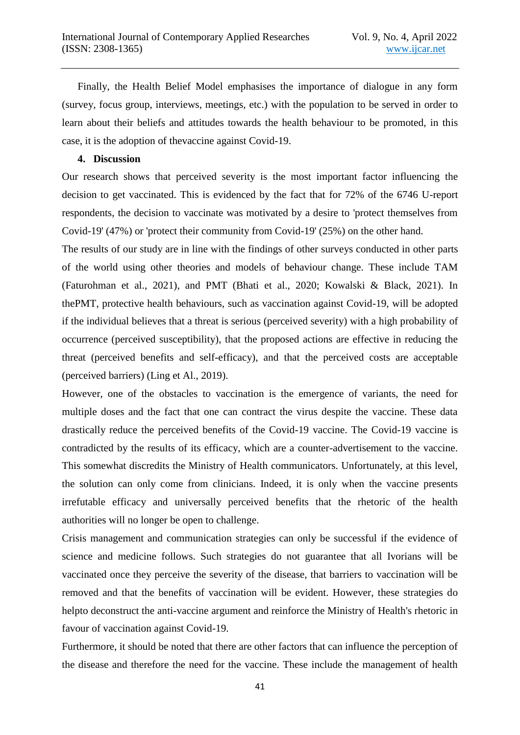Finally, the Health Belief Model emphasises the importance of dialogue in any form (survey, focus group, interviews, meetings, etc.) with the population to be served in order to learn about their beliefs and attitudes towards the health behaviour to be promoted, in this case, it is the adoption of thevaccine against Covid-19.

#### **4. Discussion**

Our research shows that perceived severity is the most important factor influencing the decision to get vaccinated. This is evidenced by the fact that for 72% of the 6746 U-report respondents, the decision to vaccinate was motivated by a desire to 'protect themselves from Covid-19' (47%) or 'protect their community from Covid-19' (25%) on the other hand.

The results of our study are in line with the findings of other surveys conducted in other parts of the world using other theories and models of behaviour change. These include TAM (Faturohman et al., 2021), and PMT (Bhati et al., 2020; Kowalski & Black, 2021). In thePMT, protective health behaviours, such as vaccination against Covid-19, will be adopted if the individual believes that a threat is serious (perceived severity) with a high probability of occurrence (perceived susceptibility), that the proposed actions are effective in reducing the threat (perceived benefits and self-efficacy), and that the perceived costs are acceptable (perceived barriers) (Ling et Al., 2019).

However, one of the obstacles to vaccination is the emergence of variants, the need for multiple doses and the fact that one can contract the virus despite the vaccine. These data drastically reduce the perceived benefits of the Covid-19 vaccine. The Covid-19 vaccine is contradicted by the results of its efficacy, which are a counter-advertisement to the vaccine. This somewhat discredits the Ministry of Health communicators. Unfortunately, at this level, the solution can only come from clinicians. Indeed, it is only when the vaccine presents irrefutable efficacy and universally perceived benefits that the rhetoric of the health authorities will no longer be open to challenge.

Crisis management and communication strategies can only be successful if the evidence of science and medicine follows. Such strategies do not guarantee that all Ivorians will be vaccinated once they perceive the severity of the disease, that barriers to vaccination will be removed and that the benefits of vaccination will be evident. However, these strategies do helpto deconstruct the anti-vaccine argument and reinforce the Ministry of Health's rhetoric in favour of vaccination against Covid-19.

Furthermore, it should be noted that there are other factors that can influence the perception of the disease and therefore the need for the vaccine. These include the management of health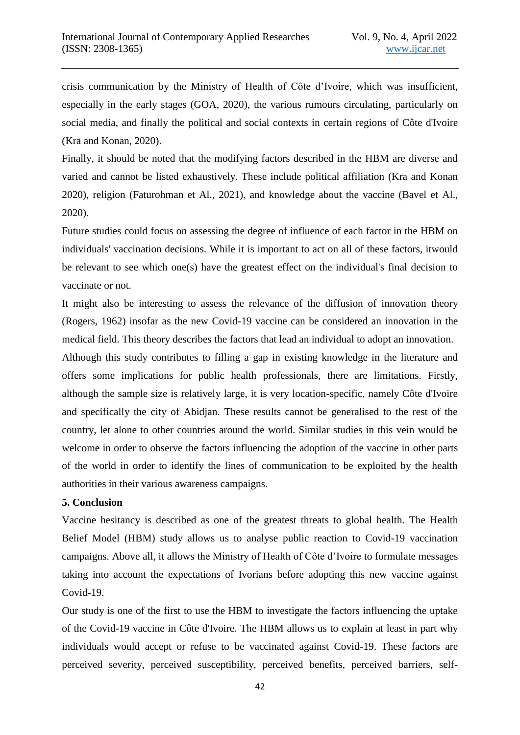crisis communication by the Ministry of Health of Côte d'Ivoire, which was insufficient, especially in the early stages (GOA, 2020), the various rumours circulating, particularly on social media, and finally the political and social contexts in certain regions of Côte d'Ivoire (Kra and Konan, 2020).

Finally, it should be noted that the modifying factors described in the HBM are diverse and varied and cannot be listed exhaustively. These include political affiliation (Kra and Konan 2020), religion (Faturohman et Al., 2021), and knowledge about the vaccine (Bavel et Al., 2020).

Future studies could focus on assessing the degree of influence of each factor in the HBM on individuals' vaccination decisions. While it is important to act on all of these factors, itwould be relevant to see which one(s) have the greatest effect on the individual's final decision to vaccinate or not.

It might also be interesting to assess the relevance of the diffusion of innovation theory (Rogers, 1962) insofar as the new Covid-19 vaccine can be considered an innovation in the medical field. This theory describes the factors that lead an individual to adopt an innovation.

Although this study contributes to filling a gap in existing knowledge in the literature and offers some implications for public health professionals, there are limitations. Firstly, although the sample size is relatively large, it is very location-specific, namely Côte d'Ivoire and specifically the city of Abidjan. These results cannot be generalised to the rest of the country, let alone to other countries around the world. Similar studies in this vein would be welcome in order to observe the factors influencing the adoption of the vaccine in other parts of the world in order to identify the lines of communication to be exploited by the health authorities in their various awareness campaigns.

## **5. Conclusion**

Vaccine hesitancy is described as one of the greatest threats to global health. The Health Belief Model (HBM) study allows us to analyse public reaction to Covid-19 vaccination campaigns. Above all, it allows the Ministry of Health of Côte d'Ivoire to formulate messages taking into account the expectations of Ivorians before adopting this new vaccine against Covid-19.

Our study is one of the first to use the HBM to investigate the factors influencing the uptake of the Covid-19 vaccine in Côte d'Ivoire. The HBM allows us to explain at least in part why individuals would accept or refuse to be vaccinated against Covid-19. These factors are perceived severity, perceived susceptibility, perceived benefits, perceived barriers, self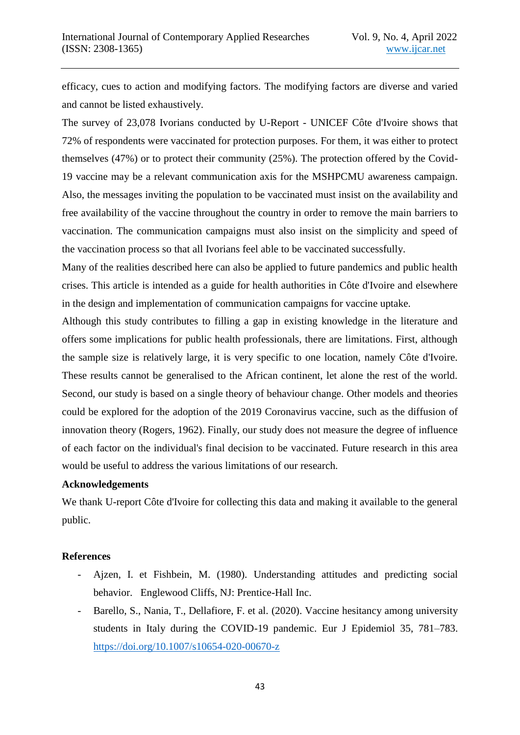efficacy, cues to action and modifying factors. The modifying factors are diverse and varied and cannot be listed exhaustively.

The survey of 23,078 Ivorians conducted by U-Report - UNICEF Côte d'Ivoire shows that 72% of respondents were vaccinated for protection purposes. For them, it was either to protect themselves (47%) or to protect their community (25%). The protection offered by the Covid-19 vaccine may be a relevant communication axis for the MSHPCMU awareness campaign. Also, the messages inviting the population to be vaccinated must insist on the availability and free availability of the vaccine throughout the country in order to remove the main barriers to vaccination. The communication campaigns must also insist on the simplicity and speed of the vaccination process so that all Ivorians feel able to be vaccinated successfully.

Many of the realities described here can also be applied to future pandemics and public health crises. This article is intended as a guide for health authorities in Côte d'Ivoire and elsewhere in the design and implementation of communication campaigns for vaccine uptake.

Although this study contributes to filling a gap in existing knowledge in the literature and offers some implications for public health professionals, there are limitations. First, although the sample size is relatively large, it is very specific to one location, namely Côte d'Ivoire. These results cannot be generalised to the African continent, let alone the rest of the world. Second, our study is based on a single theory of behaviour change. Other models and theories could be explored for the adoption of the 2019 Coronavirus vaccine, such as the diffusion of innovation theory (Rogers, 1962). Finally, our study does not measure the degree of influence of each factor on the individual's final decision to be vaccinated. Future research in this area would be useful to address the various limitations of our research.

## **Acknowledgements**

We thank U-report Côte d'Ivoire for collecting this data and making it available to the general public.

#### **References**

- Ajzen, I. et Fishbein, M. (1980). Understanding attitudes and predicting social behavior. Englewood Cliffs, NJ: Prentice-Hall Inc.
- Barello, S., Nania, T., Dellafiore, F. et al. (2020). Vaccine hesitancy among university students in Italy during the COVID-19 pandemic. Eur J Epidemiol 35, 781–783. <https://doi.org/10.1007/s10654-020-00670-z>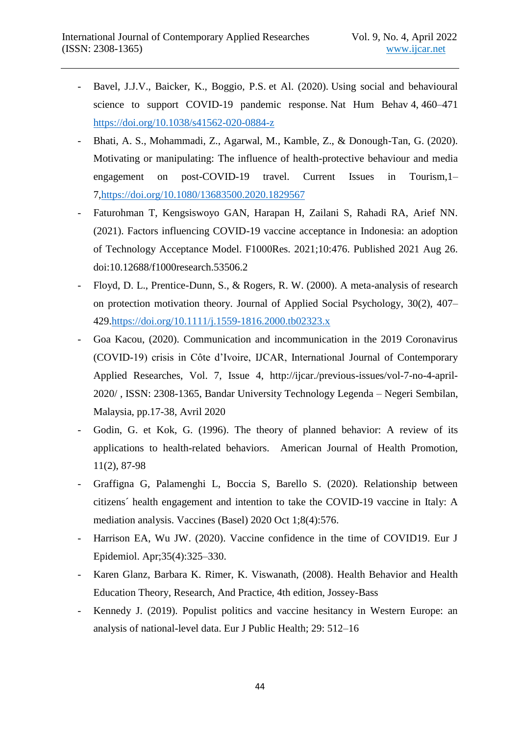- Bavel, J.J.V., Baicker, K., Boggio, P.S. et Al. (2020). Using social and behavioural science to support COVID-19 pandemic response. Nat Hum Behav 4, 460–471 <https://doi.org/10.1038/s41562-020-0884-z>
- Bhati, A. S., Mohammadi, Z., Agarwal, M., Kamble, Z., & Donough-Tan, G. (2020). Motivating or manipulating: The influence of health-protective behaviour and media engagement on post-COVID-19 travel. Current Issues in Tourism,1– 7[,https://doi.org/10.1080/13683500.2020.1829567](https://doi.org/10.1080/13683500.2020.1829567)
- Faturohman T, Kengsiswoyo GAN, Harapan H, Zailani S, Rahadi RA, Arief NN. (2021). Factors influencing COVID-19 vaccine acceptance in Indonesia: an adoption of Technology Acceptance Model. F1000Res. 2021;10:476. Published 2021 Aug 26. doi:10.12688/f1000research.53506.2
- Floyd, D. L., Prentice-Dunn, S., & Rogers, R. W. (2000). A meta-analysis of research on protection motivation theory. Journal of Applied Social Psychology, 30(2), 407– 429[.https://doi.org/10.1111/j.1559-1816.2000.tb02323.x](https://doi.org/10.1111/j.1559-1816.2000.tb02323.x)
- Goa Kacou, (2020). Communication and incommunication in the 2019 Coronavirus (COVID-19) crisis in Côte d'Ivoire, IJCAR, International Journal of Contemporary Applied Researches, Vol. 7, Issue 4, http://ijcar./previous-issues/vol-7-no-4-april-2020/ , ISSN: 2308-1365, Bandar University Technology Legenda – Negeri Sembilan, Malaysia, pp.17-38, Avril 2020
- Godin, G. et Kok, G. (1996). The theory of planned behavior: A review of its applications to health-related behaviors. American Journal of Health Promotion, 11(2), 87-98
- Graffigna G, Palamenghi L, Boccia S, Barello S. (2020). Relationship between citizens´ health engagement and intention to take the COVID-19 vaccine in Italy: A mediation analysis. Vaccines (Basel) 2020 Oct 1;8(4):576.
- Harrison EA, Wu JW. (2020). Vaccine confidence in the time of COVID19. Eur J Epidemiol. Apr;35(4):325–330.
- Karen Glanz, Barbara K. Rimer, K. Viswanath, (2008). Health Behavior and Health Education Theory, Research, And Practice, 4th edition, Jossey-Bass
- Kennedy J. (2019). Populist politics and vaccine hesitancy in Western Europe: an analysis of national-level data. Eur J Public Health; 29: 512–16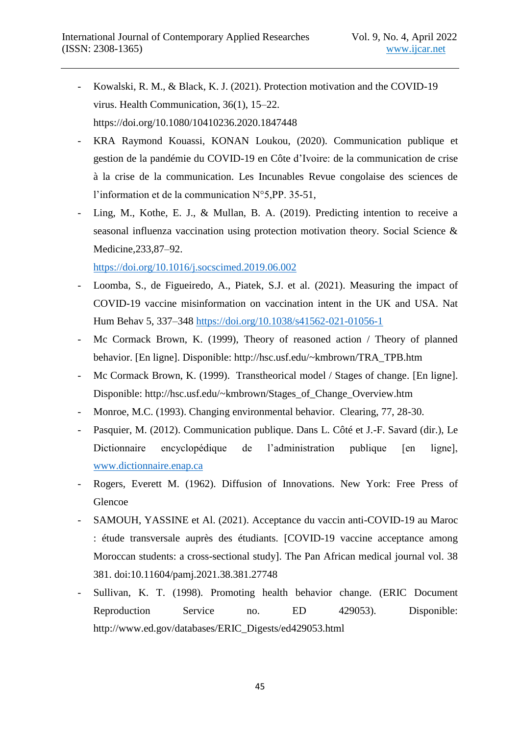- Kowalski, R. M., & Black, K. J. (2021). Protection motivation and the COVID-19 virus. Health Communication, 36(1), 15–22. <https://doi.org/10.1080/10410236.2020.1847448>
- KRA Raymond Kouassi, KONAN Loukou, (2020). Communication publique et gestion de la pandémie du COVID-19 en Côte d'Ivoire: de la communication de crise à la crise de la communication. Les Incunables Revue congolaise des sciences de l'information et de la communication N°5,PP. 35-51,
- Ling, M., Kothe, E. J., & Mullan, B. A. (2019). Predicting intention to receive a seasonal influenza vaccination using protection motivation theory. Social Science & Medicine,233,87–92.

<https://doi.org/10.1016/j.socscimed.2019.06.002>

- Loomba, S., de Figueiredo, A., Piatek, S.J. et al. (2021). Measuring the impact of COVID-19 vaccine misinformation on vaccination intent in the UK and USA. Nat Hum Behav 5, 337–348<https://doi.org/10.1038/s41562-021-01056-1>
- Mc Cormack Brown, K. (1999), Theory of reasoned action / Theory of planned behavior. [En ligne]. Disponible: http://hsc.usf.edu/~kmbrown/TRA\_TPB.htm
- Mc Cormack Brown, K. (1999). Transtheorical model / Stages of change. [En ligne]. Disponible: http://hsc.usf.edu/~kmbrown/Stages\_of\_Change\_Overview.htm
- Monroe, M.C. (1993). Changing environmental behavior. Clearing, 77, 28-30.
- Pasquier, M. (2012). Communication publique. Dans L. Côté et J.-F. Savard (dir.), Le Dictionnaire encyclopédique de l'administration publique [en ligne], [www.dictionnaire.enap.ca](http://www.dictionnaire.enap.ca/)
- Rogers, Everett M. (1962). Diffusion of Innovations. New York: Free Press of Glencoe
- SAMOUH, YASSINE et Al. (2021). Acceptance du vaccin anti-COVID-19 au Maroc : étude transversale auprès des étudiants. [COVID-19 vaccine acceptance among Moroccan students: a cross-sectional study]. The Pan African medical journal vol. 38 381. doi:10.11604/pamj.2021.38.381.27748
- Sullivan, K. T. (1998). Promoting health behavior change. (ERIC Document Reproduction Service no. ED 429053). Disponible: http://www.ed.gov/databases/ERIC\_Digests/ed429053.html